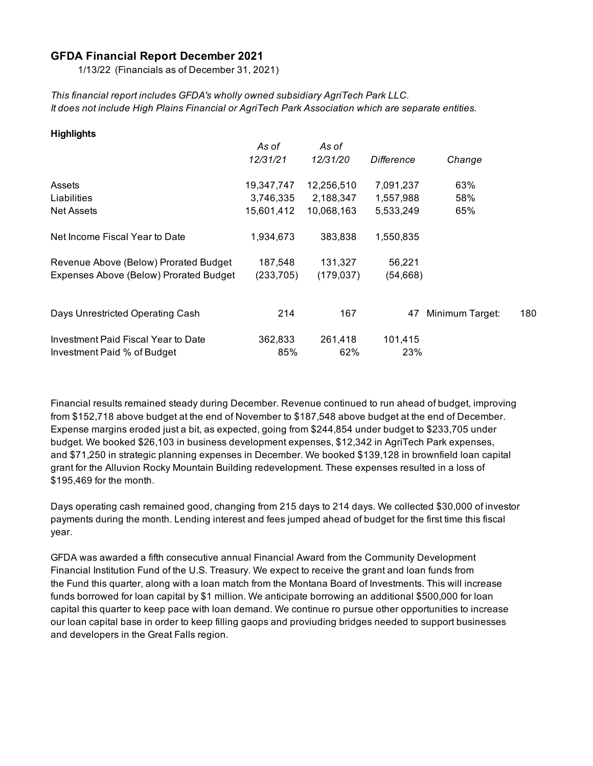#### **GFDA Financial Report December 2021**

1/13/22 (Financials as of December 31, 2021)

*This financial report includes GFDA's wholly owned subsidiary AgriTech Park LLC. It does not include High Plains Financial or AgriTech Park Association which are separate entities.*

| <b>Highlights</b>                      |            |                 |            |                 |     |
|----------------------------------------|------------|-----------------|------------|-----------------|-----|
|                                        | As of      | As of           |            |                 |     |
|                                        | 12/31/21   | <i>12/31/20</i> | Difference | Change          |     |
| Assets                                 | 19,347,747 | 12,256,510      | 7,091,237  | 63%             |     |
| Liabilities                            | 3,746,335  | 2,188,347       | 1,557,988  | 58%             |     |
| <b>Net Assets</b>                      | 15,601,412 | 10,068,163      | 5,533,249  | 65%             |     |
| Net Income Fiscal Year to Date         | 1,934,673  | 383,838         | 1,550,835  |                 |     |
| Revenue Above (Below) Prorated Budget  | 187,548    | 131,327         | 56,221     |                 |     |
| Expenses Above (Below) Prorated Budget | (233, 705) | (179, 037)      | (54,668)   |                 |     |
|                                        |            |                 |            |                 |     |
| Days Unrestricted Operating Cash       | 214        | 167             | 47         | Minimum Target: | 180 |
| Investment Paid Fiscal Year to Date    | 362,833    | 261,418         | 101,415    |                 |     |
| Investment Paid % of Budget            | 85%        | 62%             | 23%        |                 |     |

Financial results remained steady during December. Revenue continued to run ahead of budget, improving from \$152,718 above budget at the end of November to \$187,548 above budget at the end of December. Expense margins eroded just a bit, as expected, going from \$244,854 under budget to \$233,705 under budget. We booked \$26,103 in business development expenses, \$12,342 in AgriTech Park expenses, and \$71,250 in strategic planning expenses in December. We booked \$139,128 in brownfield loan capital grant for the Alluvion Rocky Mountain Building redevelopment. These expenses resulted in a loss of \$195,469 for the month.

Days operating cash remained good, changing from 215 days to 214 days. We collected \$30,000 of investor payments during the month. Lending interest and fees jumped ahead of budget for the first time this fiscal year.

GFDA was awarded a fifth consecutive annual Financial Award from the Community Development Financial Institution Fund of the U.S. Treasury. We expect to receive the grant and loan funds from the Fund this quarter, along with a loan match from the Montana Board of Investments. This will increase funds borrowed for loan capital by \$1 million. We anticipate borrowing an additional \$500,000 for loan capital this quarter to keep pace with loan demand. We continue ro pursue other opportunities to increase our loan capital base in order to keep filling gaops and proviuding bridges needed to support businesses and developers in the Great Falls region.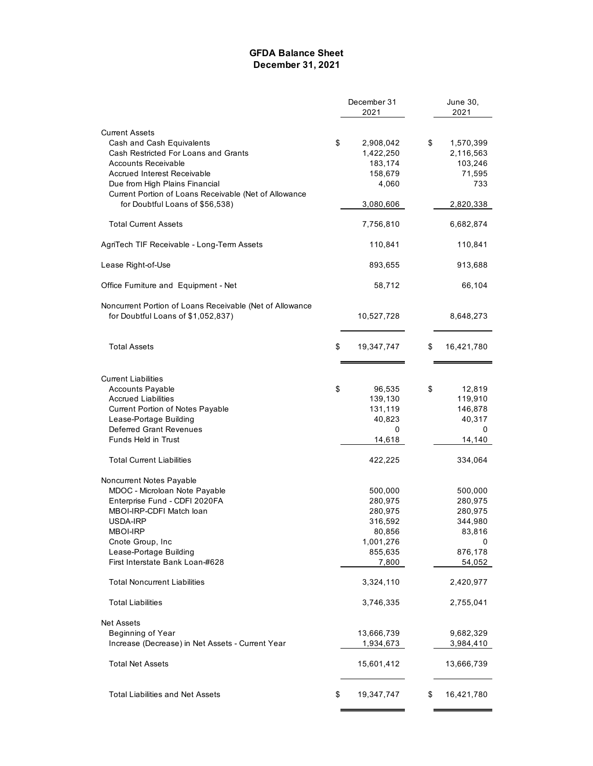#### **GFDA Balance Sheet December 31, 2021**

|                                                          | December 31      | June 30,         |  |
|----------------------------------------------------------|------------------|------------------|--|
|                                                          | 2021             | 2021             |  |
| <b>Current Assets</b>                                    |                  |                  |  |
| Cash and Cash Equivalents                                | \$<br>2,908,042  | \$<br>1,570,399  |  |
| Cash Restricted For Loans and Grants                     | 1,422,250        | 2,116,563        |  |
| <b>Accounts Receivable</b>                               | 183,174          | 103,246          |  |
| <b>Accrued Interest Receivable</b>                       | 158,679          | 71,595           |  |
| Due from High Plains Financial                           | 4,060            | 733              |  |
| Current Portion of Loans Receivable (Net of Allowance    |                  |                  |  |
| for Doubtful Loans of \$56,538)                          | 3,080,606        | 2,820,338        |  |
|                                                          |                  |                  |  |
| <b>Total Current Assets</b>                              | 7,756,810        | 6,682,874        |  |
| AgriTech TIF Receivable - Long-Term Assets               | 110,841          | 110,841          |  |
| Lease Right-of-Use                                       | 893,655          | 913,688          |  |
| Office Furniture and Equipment - Net                     | 58,712           | 66,104           |  |
| Noncurrent Portion of Loans Receivable (Net of Allowance |                  |                  |  |
| for Doubtful Loans of \$1,052,837)                       | 10,527,728       | 8,648,273        |  |
|                                                          |                  |                  |  |
| <b>Total Assets</b>                                      | \$<br>19,347,747 | \$<br>16,421,780 |  |
|                                                          |                  |                  |  |
| <b>Current Liabilities</b>                               |                  |                  |  |
| <b>Accounts Payable</b>                                  | \$<br>96,535     | \$<br>12,819     |  |
| <b>Accrued Liabilities</b>                               | 139,130          | 119,910          |  |
| Current Portion of Notes Payable                         | 131,119          | 146,878          |  |
| Lease-Portage Building                                   | 40,823           | 40,317           |  |
| <b>Deferred Grant Revenues</b>                           | 0                | 0                |  |
| Funds Held in Trust                                      | 14,618           | 14,140           |  |
|                                                          |                  |                  |  |
| <b>Total Current Liabilities</b>                         | 422,225          | 334,064          |  |
| Noncurrent Notes Payable                                 |                  |                  |  |
| MDOC - Microloan Note Payable                            | 500,000          | 500,000          |  |
| Enterprise Fund - CDFI 2020FA                            | 280,975          | 280,975          |  |
| MBOI-IRP-CDFI Match Ioan                                 | 280,975          | 280,975          |  |
| USDA-IRP                                                 | 316,592          | 344,980          |  |
| MBOI-IRP                                                 | 80,856           | 83,816           |  |
| Cnote Group, Inc.                                        | 1,001,276        | 0                |  |
| Lease-Portage Building                                   | 855,635          | 876,178          |  |
| First Interstate Bank Loan-#628                          | 7,800            | 54,052           |  |
| <b>Total Noncurrent Liabilities</b>                      | 3,324,110        | 2,420,977        |  |
| <b>Total Liabilities</b>                                 | 3,746,335        | 2,755,041        |  |
| <b>Net Assets</b>                                        |                  |                  |  |
| Beginning of Year                                        | 13,666,739       | 9,682,329        |  |
| Increase (Decrease) in Net Assets - Current Year         | 1,934,673        | 3,984,410        |  |
| <b>Total Net Assets</b>                                  | 15,601,412       | 13,666,739       |  |
| <b>Total Liabilities and Net Assets</b>                  | \$<br>19,347,747 | \$<br>16,421,780 |  |
|                                                          |                  |                  |  |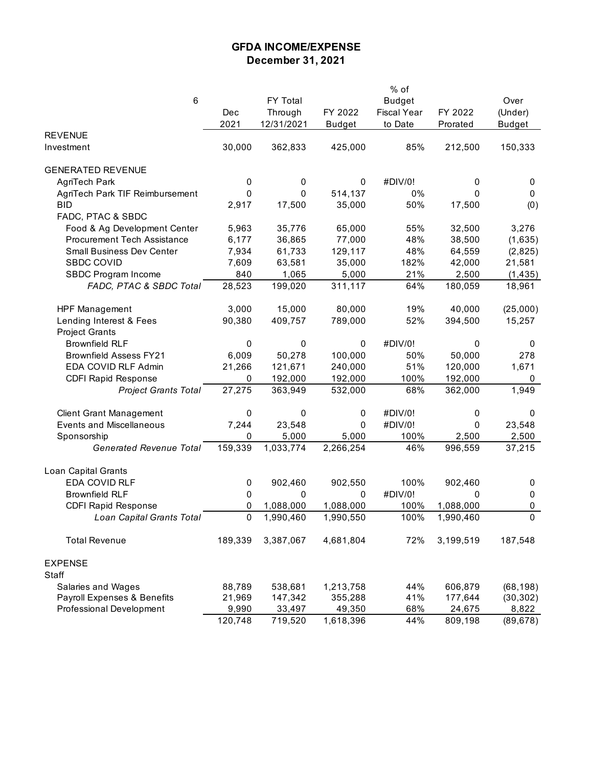## **GFDA INCOME/EXPENSE December 31, 2021**

|                                 |         |            |               | % of               |           |               |
|---------------------------------|---------|------------|---------------|--------------------|-----------|---------------|
| 6                               |         | FY Total   |               | <b>Budget</b>      |           | Over          |
|                                 | Dec     | Through    | FY 2022       | <b>Fiscal Year</b> | FY 2022   | (Under)       |
|                                 | 2021    | 12/31/2021 | <b>Budget</b> | to Date            | Prorated  | <b>Budget</b> |
| <b>REVENUE</b>                  |         |            |               |                    |           |               |
| Investment                      | 30,000  | 362,833    | 425,000       | 85%                | 212,500   | 150,333       |
| <b>GENERATED REVENUE</b>        |         |            |               |                    |           |               |
| AgriTech Park                   | 0       | 0          | 0             | #DIV/0!            | 0         | 0             |
| AgriTech Park TIF Reimbursement | 0       | 0          | 514,137       | 0%                 | 0         | 0             |
| <b>BID</b>                      | 2,917   | 17,500     | 35,000        | 50%                | 17,500    | (0)           |
| FADC, PTAC & SBDC               |         |            |               |                    |           |               |
| Food & Ag Development Center    | 5,963   | 35,776     | 65,000        | 55%                | 32,500    | 3,276         |
| Procurement Tech Assistance     | 6,177   | 36,865     | 77,000        | 48%                | 38,500    | (1,635)       |
| Small Business Dev Center       | 7,934   | 61,733     | 129,117       | 48%                | 64,559    | (2,825)       |
| <b>SBDC COVID</b>               | 7,609   | 63,581     | 35,000        | 182%               | 42,000    | 21,581        |
| SBDC Program Income             | 840     | 1,065      | 5,000         | 21%                | 2,500     | (1, 435)      |
| FADC, PTAC & SBDC Total         | 28,523  | 199,020    | 311,117       | 64%                | 180,059   | 18,961        |
| <b>HPF Management</b>           | 3,000   | 15,000     | 80,000        | 19%                | 40,000    | (25,000)      |
| Lending Interest & Fees         | 90,380  | 409,757    | 789,000       | 52%                | 394,500   | 15,257        |
| <b>Project Grants</b>           |         |            |               |                    |           |               |
| <b>Brownfield RLF</b>           | 0       | 0          | 0             | #DIV/0!            | 0         | 0             |
| <b>Brownfield Assess FY21</b>   | 6,009   | 50,278     | 100,000       | 50%                | 50,000    | 278           |
| EDA COVID RLF Admin             | 21,266  | 121,671    | 240,000       | 51%                | 120,000   | 1,671         |
| <b>CDFI Rapid Response</b>      | 0       | 192,000    | 192,000       | 100%               | 192,000   | 0             |
| <b>Project Grants Total</b>     | 27,275  | 363,949    | 532,000       | 68%                | 362,000   | 1,949         |
| <b>Client Grant Management</b>  | 0       | 0          | 0             | #DIV/0!            | 0         | 0             |
| <b>Events and Miscellaneous</b> | 7,244   | 23,548     | 0             | #DIV/0!            | 0         | 23,548        |
| Sponsorship                     | 0       | 5,000      | 5,000         | 100%               | 2,500     | 2,500         |
| <b>Generated Revenue Total</b>  | 159,339 | 1,033,774  | 2,266,254     | 46%                | 996,559   | 37,215        |
| Loan Capital Grants             |         |            |               |                    |           |               |
| EDA COVID RLF                   | 0       | 902,460    | 902,550       | 100%               | 902,460   | 0             |
| <b>Brownfield RLF</b>           | 0       | 0          | 0             | #DIV/0!            | 0         | 0             |
| <b>CDFI Rapid Response</b>      | 0       | 1,088,000  | 1,088,000     | 100%               | 1,088,000 | 0             |
| Loan Capital Grants Total       | 0       | 1,990,460  | 1,990,550     | 100%               | 1,990,460 | $\Omega$      |
| <b>Total Revenue</b>            | 189,339 | 3,387,067  | 4,681,804     | 72%                | 3,199,519 | 187,548       |
| <b>EXPENSE</b>                  |         |            |               |                    |           |               |
| Staff                           |         |            |               |                    |           |               |
| Salaries and Wages              | 88,789  | 538,681    | 1,213,758     | 44%                | 606,879   | (68, 198)     |
| Payroll Expenses & Benefits     | 21,969  | 147,342    | 355,288       | 41%                | 177,644   | (30, 302)     |
| Professional Development        | 9,990   | 33,497     | 49,350        | 68%                | 24,675    | 8,822         |
|                                 | 120,748 | 719,520    | 1,618,396     | 44%                | 809,198   | (89, 678)     |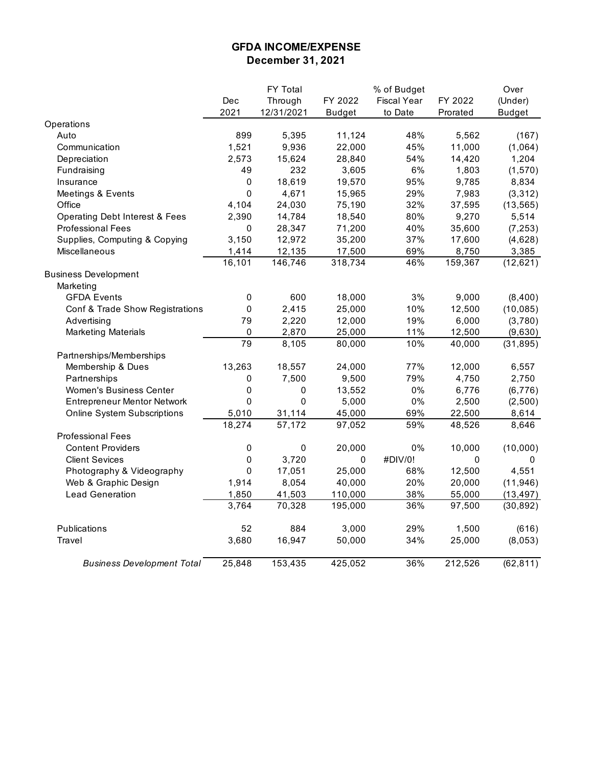## **GFDA INCOME/EXPENSE December 31, 2021**

|                                           |             | FY Total    |               | % of Budget        |          | Over          |
|-------------------------------------------|-------------|-------------|---------------|--------------------|----------|---------------|
|                                           | Dec         | Through     | FY 2022       | <b>Fiscal Year</b> | FY 2022  | (Under)       |
|                                           | 2021        | 12/31/2021  | <b>Budget</b> | to Date            | Prorated | <b>Budget</b> |
| Operations                                |             |             |               |                    |          |               |
| Auto                                      | 899         | 5,395       | 11,124        | 48%                | 5,562    | (167)         |
| Communication                             | 1,521       | 9,936       | 22,000        | 45%                | 11,000   | (1,064)       |
| Depreciation                              | 2,573       | 15,624      | 28,840        | 54%                | 14,420   | 1,204         |
| Fundraising                               | 49          | 232         | 3,605         | $6\%$              | 1,803    | (1, 570)      |
| Insurance                                 | 0           | 18,619      | 19,570        | 95%                | 9,785    | 8,834         |
| Meetings & Events                         | $\mathbf 0$ | 4,671       | 15,965        | 29%                | 7,983    | (3, 312)      |
| Office                                    | 4,104       | 24,030      | 75,190        | 32%                | 37,595   | (13, 565)     |
| <b>Operating Debt Interest &amp; Fees</b> | 2,390       | 14,784      | 18,540        | 80%                | 9,270    | 5,514         |
| <b>Professional Fees</b>                  | 0           | 28,347      | 71,200        | 40%                | 35,600   | (7, 253)      |
| Supplies, Computing & Copying             | 3,150       | 12,972      | 35,200        | 37%                | 17,600   | (4,628)       |
| <b>Miscellaneous</b>                      | 1,414       | 12,135      | 17,500        | 69%                | 8,750    | 3,385         |
|                                           | 16,101      | 146,746     | 318,734       | 46%                | 159,367  | (12, 621)     |
| <b>Business Development</b>               |             |             |               |                    |          |               |
| Marketing                                 |             |             |               |                    |          |               |
| <b>GFDA Events</b>                        | $\pmb{0}$   | 600         | 18,000        | 3%                 | 9,000    | (8,400)       |
| Conf & Trade Show Registrations           | 0           | 2,415       | 25,000        | 10%                | 12,500   | (10, 085)     |
| Advertising                               | 79          | 2,220       | 12,000        | 19%                | 6,000    | (3,780)       |
| <b>Marketing Materials</b>                | 0           | 2,870       | 25,000        | 11%                | 12,500   | (9,630)       |
|                                           | 79          | 8,105       | 80,000        | 10%                | 40,000   | (31, 895)     |
| Partnerships/Memberships                  |             |             |               |                    |          |               |
| Membership & Dues                         | 13,263      | 18,557      | 24,000        | 77%                | 12,000   | 6,557         |
| Partnerships                              | 0           | 7,500       | 9,500         | 79%                | 4,750    | 2,750         |
| Women's Business Center                   | $\pmb{0}$   | 0           | 13,552        | 0%                 | 6,776    | (6, 776)      |
| <b>Entrepreneur Mentor Network</b>        | $\mathbf 0$ | $\mathbf 0$ | 5,000         | 0%                 | 2,500    | (2,500)       |
| <b>Online System Subscriptions</b>        | 5,010       | 31,114      | 45,000        | 69%                | 22,500   | 8,614         |
|                                           | 18,274      | 57,172      | 97,052        | 59%                | 48,526   | 8,646         |
| <b>Professional Fees</b>                  |             |             |               |                    |          |               |
| <b>Content Providers</b>                  | $\pmb{0}$   | $\pmb{0}$   | 20,000        | 0%                 | 10,000   | (10,000)      |
| <b>Client Sevices</b>                     | $\pmb{0}$   | 3,720       | $\pmb{0}$     | #DIV/0!            | 0        | $\mathbf 0$   |
| Photography & Videography                 | 0           | 17,051      | 25,000        | 68%                | 12,500   | 4,551         |
| Web & Graphic Design                      | 1,914       | 8,054       | 40,000        | 20%                | 20,000   | (11, 946)     |
| <b>Lead Generation</b>                    | 1,850       | 41,503      | 110,000       | 38%                | 55,000   | (13, 497)     |
|                                           | 3,764       | 70,328      | 195,000       | 36%                | 97,500   | (30, 892)     |
| <b>Publications</b>                       | 52          | 884         | 3,000         | 29%                | 1,500    | (616)         |
| Travel                                    | 3,680       | 16,947      | 50,000        | 34%                | 25,000   | (8,053)       |
| <b>Business Development Total</b>         | 25,848      | 153,435     | 425,052       | 36%                | 212,526  | (62, 811)     |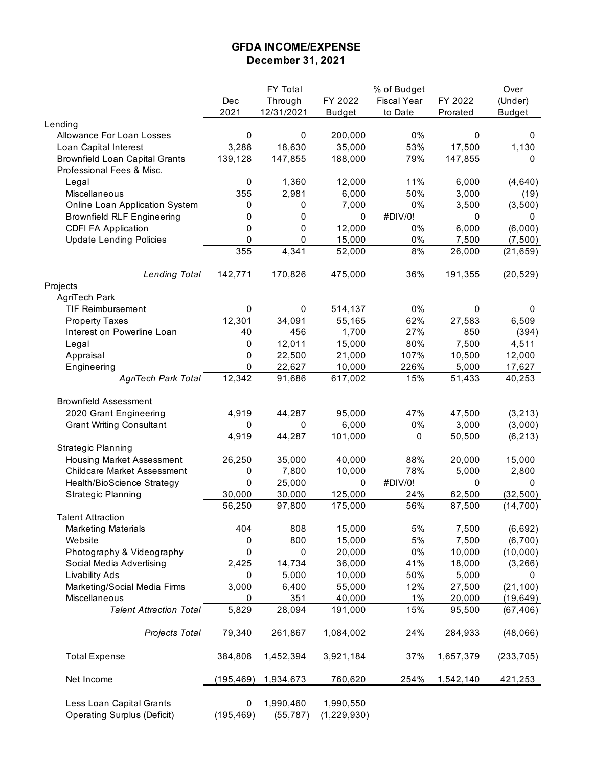## **GFDA INCOME/EXPENSE December 31, 2021**

|                                                                |                 | <b>FY Total</b>        |                          | % of Budget        |           | Over           |
|----------------------------------------------------------------|-----------------|------------------------|--------------------------|--------------------|-----------|----------------|
|                                                                | Dec             | Through                | FY 2022                  | <b>Fiscal Year</b> | FY 2022   | (Under)        |
|                                                                | 2021            | 12/31/2021             | <b>Budget</b>            | to Date            | Prorated  | <b>Budget</b>  |
| Lending                                                        |                 |                        |                          |                    |           |                |
| Allowance For Loan Losses                                      | 0               | 0                      | 200,000                  | 0%                 | 0         | 0              |
| Loan Capital Interest                                          | 3,288           | 18,630                 | 35,000                   | 53%                | 17,500    | 1,130          |
| <b>Brownfield Loan Capital Grants</b>                          | 139,128         | 147,855                | 188,000                  | 79%                | 147,855   | 0              |
| Professional Fees & Misc.                                      |                 |                        |                          |                    |           |                |
| Legal                                                          | 0               | 1,360                  | 12,000                   | 11%                | 6,000     | (4,640)        |
| Miscellaneous                                                  | 355             | 2,981                  | 6,000                    | 50%                | 3,000     | (19)           |
| Online Loan Application System                                 | 0               | 0                      | 7,000                    | 0%                 | 3,500     | (3,500)        |
| <b>Brownfield RLF Engineering</b>                              | 0               | 0                      | 0                        | #DIV/0!            | 0         | 0              |
| <b>CDFI FA Application</b>                                     | 0               | $\mathbf 0$            | 12,000                   | 0%                 | 6,000     | (6,000)        |
| <b>Update Lending Policies</b>                                 | 0               | 0                      | 15,000                   | 0%                 | 7,500     | (7,500)        |
|                                                                | 355             | 4,341                  | 52,000                   | 8%                 | 26,000    | (21, 659)      |
| <b>Lending Total</b>                                           | 142,771         | 170,826                | 475,000                  | 36%                | 191,355   | (20, 529)      |
| Projects                                                       |                 |                        |                          |                    |           |                |
| AgriTech Park                                                  |                 |                        |                          |                    |           |                |
| <b>TIF Reimbursement</b>                                       | 0               | 0                      | 514,137                  | 0%                 | 0         | 0              |
| <b>Property Taxes</b>                                          | 12,301          | 34,091                 | 55,165                   | 62%                | 27,583    | 6,509          |
| Interest on Powerline Loan                                     | 40              | 456                    | 1,700                    | 27%                | 850       | (394)          |
|                                                                | 0               | 12,011                 | 15,000                   | 80%                | 7,500     |                |
| Legal                                                          |                 |                        |                          |                    |           | 4,511          |
| Appraisal                                                      | 0               | 22,500                 | 21,000                   | 107%               | 10,500    | 12,000         |
| Engineering                                                    | 0               | 22,627                 | 10,000                   | 226%               | 5,000     | 17,627         |
| <b>AgriTech Park Total</b>                                     | 12,342          | 91,686                 | 617,002                  | 15%                | 51,433    | 40,253         |
| <b>Brownfield Assessment</b>                                   |                 |                        |                          |                    |           |                |
| 2020 Grant Engineering                                         | 4,919           | 44,287                 | 95,000                   | 47%                | 47,500    | (3, 213)       |
| <b>Grant Writing Consultant</b>                                | 0               | 0                      | 6,000                    | 0%                 | 3,000     | (3,000)        |
|                                                                | 4,919           | 44,287                 | 101,000                  | 0                  | 50,500    | (6, 213)       |
| <b>Strategic Planning</b>                                      |                 |                        |                          |                    |           |                |
| <b>Housing Market Assessment</b>                               | 26,250          | 35,000                 | 40,000                   | 88%                | 20,000    | 15,000         |
| <b>Childcare Market Assessment</b>                             | 0               | 7,800                  | 10,000                   | 78%                | 5,000     | 2,800          |
| Health/BioScience Strategy                                     | $\Omega$        | 25,000                 | $\mathbf{0}$             | #DIV/0!            | 0         | 0              |
| <b>Strategic Planning</b>                                      | 30,000          | 30,000                 | 125,000                  | 24%                | 62,500    | (32, 500)      |
|                                                                | 56,250          | 97,800                 | 175,000                  | 56%                | 87,500    | (14, 700)      |
| <b>Talent Attraction</b>                                       |                 |                        |                          |                    |           |                |
| <b>Marketing Materials</b>                                     | 404             | 808                    | 15,000                   | $5%$               | 7,500     | (6,692)        |
| Website                                                        | 0               | 800                    | 15,000                   | 5%                 | 7,500     | (6,700)        |
| Photography & Videography                                      | 0               | 0                      | 20,000                   | 0%                 | 10,000    | (10,000)       |
| Social Media Advertising                                       | 2,425           | 14,734                 | 36,000                   | 41%                | 18,000    | (3, 266)       |
|                                                                | 0               | 5,000                  | 10,000                   | 50%                | 5,000     |                |
| Livability Ads                                                 |                 |                        |                          |                    |           | 0<br>(21, 100) |
| Marketing/Social Media Firms                                   | 3,000           | 6,400<br>351           | 55,000                   | 12%                | 27,500    |                |
| Miscellaneous                                                  | 0               |                        | 40,000                   | 1%                 | 20,000    | (19, 649)      |
| <b>Talent Attraction Total</b>                                 | 5,829           | 28,094                 | 191,000                  | 15%                | 95,500    | (67, 406)      |
| Projects Total                                                 | 79,340          | 261,867                | 1,084,002                | 24%                | 284,933   | (48,066)       |
| <b>Total Expense</b>                                           | 384,808         | 1,452,394              | 3,921,184                | 37%                | 1,657,379 | (233, 705)     |
| Net Income                                                     | (195, 469)      | 1,934,673              | 760,620                  | 254%               | 1,542,140 | 421,253        |
| Less Loan Capital Grants<br><b>Operating Surplus (Deficit)</b> | 0<br>(195, 469) | 1,990,460<br>(55, 787) | 1,990,550<br>(1,229,930) |                    |           |                |